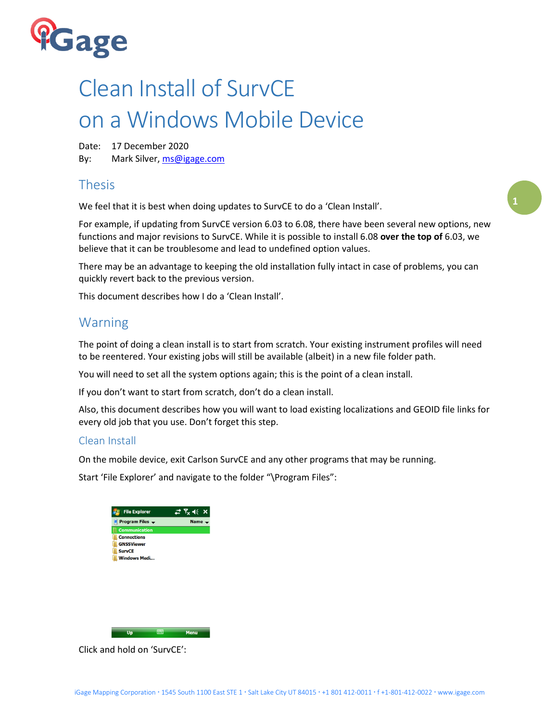

# Clean Install of SurvCE on a Windows Mobile Device

Date: 17 December 2020 By: Mark Silver, [ms@igage.com](mailto:ms@igage.com)

# Thesis

We feel that it is best when doing updates to SurvCE to do a 'Clean Install'.

For example, if updating from SurvCE version 6.03 to 6.08, there have been several new options, new functions and major revisions to SurvCE. While it is possible to install 6.08 **over the top of** 6.03, we believe that it can be troublesome and lead to undefined option values.

There may be an advantage to keeping the old installation fully intact in case of problems, you can quickly revert back to the previous version.

This document describes how I do a 'Clean Install'.

# Warning

The point of doing a clean install is to start from scratch. Your existing instrument profiles will need to be reentered. Your existing jobs will still be available (albeit) in a new file folder path.

You will need to set all the system options again; this is the point of a clean install.

If you don't want to start from scratch, don't do a clean install.

Also, this document describes how you will want to load existing localizations and GEOID file links for every old job that you use. Don't forget this step.

## Clean Install

On the mobile device, exit Carlson SurvCE and any other programs that may be running.

Start 'File Explorer' and navigate to the folder "\Program Files":



Click and hold on 'SurvCE':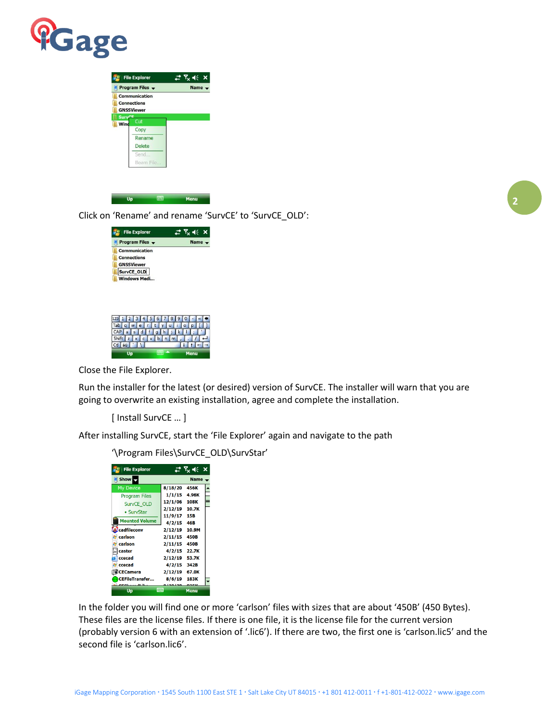

|                       | <b>Communication</b><br><b>Connections</b><br><b>GNSSViewer</b> |  |
|-----------------------|-----------------------------------------------------------------|--|
| <b>SurvCE</b><br>Wind | Cut                                                             |  |
|                       | Copy                                                            |  |
|                       | Rename                                                          |  |
|                       | <b>Delete</b>                                                   |  |
|                       | Send                                                            |  |
|                       | Beam File                                                       |  |
|                       |                                                                 |  |

Click on 'Rename' and rename 'SurvCE' to 'SurvCE\_OLD':



Close the File Explorer.

Run the installer for the latest (or desired) version of SurvCE. The installer will warn that you are going to overwrite an existing installation, agree and complete the installation.

[ Install SurvCE … ]

After installing SurvCE, start the 'File Explorer' again and navigate to the path

'\Program Files\SurvCE\_OLD\SurvStar'

| <b>File Explorer</b>         |         | $T_x \ll x$ |  |
|------------------------------|---------|-------------|--|
| Show <b>R</b><br><b>Name</b> |         |             |  |
| <b>My Device</b>             | 8/18/20 | 456K        |  |
| <b>Program Files</b>         | 1/1/15  | 4.96K       |  |
| SurvCE OLD                   | 12/1/06 | 108K        |  |
| • SurvStar                   | 2/12/19 | 10.7K       |  |
| <b>Mounted Volume</b>        | 11/9/17 | 15B         |  |
|                              | 4/2/15  | 46B         |  |
| <b>cadfileconv</b>           | 2/12/19 | 10.9M       |  |
| carlson                      | 2/11/15 | 450B        |  |
| carlson                      | 2/11/15 | <b>450B</b> |  |
| caster                       | 4/2/15  | 22.7K       |  |
| ccecad                       | 2/12/19 | 53.7K       |  |
| ccecad                       | 4/2/15  | 342B        |  |
| <b>CECamera</b>              | 2/12/19 | 67.0K       |  |
| <b>CEFileTransfer</b>        | 8/6/19  | 183K        |  |
| Un                           |         | Menu        |  |

In the folder you will find one or more 'carlson' files with sizes that are about '450B' (450 Bytes). These files are the license files. If there is one file, it is the license file for the current version (probably version 6 with an extension of '.lic6'). If there are two, the first one is 'carlson.lic5' and the second file is 'carlson.lic6'.

**2**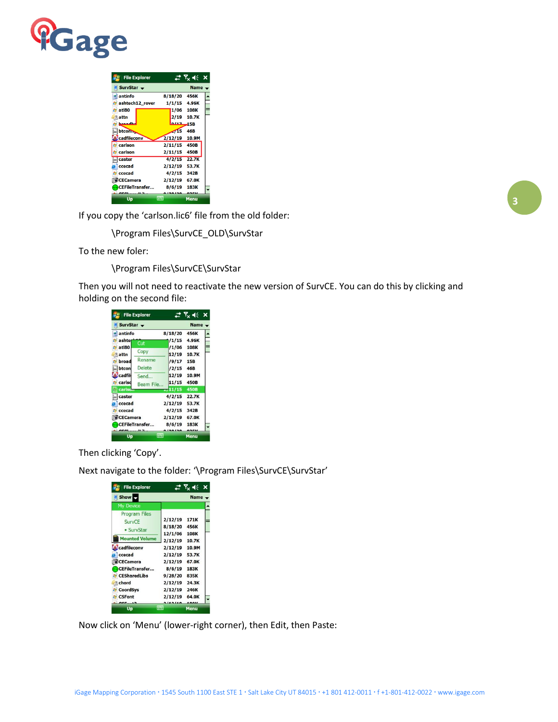

| <b>File Explorer</b>   |             | $\mathbb{H}$ $\mathcal{T}_{\mathsf{x}}$ $\mathsf{f}(\mathsf{x})$ |  |
|------------------------|-------------|------------------------------------------------------------------|--|
| SurvStar $\rightarrow$ |             | <b>Name</b>                                                      |  |
| antinfo                | 8/18/20     | 456K                                                             |  |
| ashtech12_rover        | 1/1/15      | 4.96K                                                            |  |
| atl80                  | 1/06        | <b>108K</b>                                                      |  |
| attn                   | 2/19        | 10.7K                                                            |  |
| hannadha               | 0.117       | <b>15B</b>                                                       |  |
| <b>btcomm</b>          | $\sqrt{15}$ | 46B                                                              |  |
| cadfileconv            | 2/12/19     | 10.9M                                                            |  |
| carlson                | 2/11/15     | <b>450B</b>                                                      |  |
| carlson                | 2/11/15     | 450B                                                             |  |
| caster                 | 4/2/15      | 22.7K                                                            |  |
| ccecad                 | 2/12/19     | 53.7K                                                            |  |
| ccecad                 | 4/2/15      | 342B                                                             |  |
| <b>O</b> CECamera      | 2/12/19     | 67.0K                                                            |  |
| <b>CEFileTransfer</b>  | 8/6/19      | 183K                                                             |  |
|                        |             |                                                                  |  |
| Up                     |             | <b>Menu</b>                                                      |  |

If you copy the 'carlson.lic6' file from the old folder:

\Program Files\SurvCE\_OLD\SurvStar

To the new foler:

\Program Files\SurvCE\SurvStar

Then you will not need to reactivate the new version of SurvCE. You can do this by clicking and holding on the second file:

|                | <b>File Explorer</b>  | ₩          | $\nabla_{\mathbf{x}} \parallel \in \mathbf{x}$ |  |
|----------------|-----------------------|------------|------------------------------------------------|--|
| SurvStar -     |                       |            | <b>Name</b>                                    |  |
| antinfo        |                       | 8/18/20    | 456K                                           |  |
| ashte          | Cut                   | /1/15      | 4.96K                                          |  |
| atl80          |                       | /1/06      | 108K                                           |  |
| attn           | Copy                  | 12/19      | 10.7K                                          |  |
| broad          | Rename                | /9/17      | <b>15B</b>                                     |  |
| btcon          | <b>Delete</b>         | /2/15      | 46B                                            |  |
| cadfil         | Send                  | 12/19      | 10.9M                                          |  |
| carlsd         | Beam File             | 11/15      | 450B                                           |  |
| <b>carlson</b> |                       | 271/15     | <b>450B</b>                                    |  |
| caster         |                       | 4/2/15     | 22.7K                                          |  |
| ccecad         |                       | 2/12/19    | 53.7K                                          |  |
| ccecad         |                       | 4/2/15     | 342B                                           |  |
| CECamera       |                       | 2/12/19    | 67.0K                                          |  |
|                | <b>CEFileTransfer</b> | 8/6/19     | 183K                                           |  |
|                |                       |            |                                                |  |
| Up             |                       | <b>WW.</b> | Menu                                           |  |

Then clicking 'Copy'.

Next navigate to the folder: '\Program Files\SurvCE\SurvStar'

| <b>File Explorer</b>  |         | <b>Y<sub>x</sub></b> 46 X |  |
|-----------------------|---------|---------------------------|--|
| <b>Show</b><br>Name - |         |                           |  |
| <b>My Device</b>      |         |                           |  |
| <b>Program Files</b>  |         |                           |  |
| <b>SurvCE</b>         | 2/12/19 | 171K                      |  |
| • SurvStar            | 8/18/20 | 456K                      |  |
|                       | 12/1/06 | <b>108K</b>               |  |
| <b>Mounted Volume</b> | 2/12/19 | 10.7K                     |  |
| cadfileconv           | 2/12/19 | 10.9M                     |  |
| ccecad                | 2/12/19 | 53.7K                     |  |
| CECamera              | 2/12/19 | 67.0K                     |  |
| <b>CEFileTransfer</b> | 8/6/19  | 183K                      |  |
| <b>CESharedLibs</b>   | 9/28/20 | 835K                      |  |
| chord                 | 2/12/19 | 24.3K                     |  |
| <b>CoordSys</b>       | 2/12/19 | 246K                      |  |
| <b>CSFont</b>         | 2/12/19 | 64.0K                     |  |
|                       |         |                           |  |
| Up                    |         | Menu                      |  |

Now click on 'Menu' (lower-right corner), then Edit, then Paste: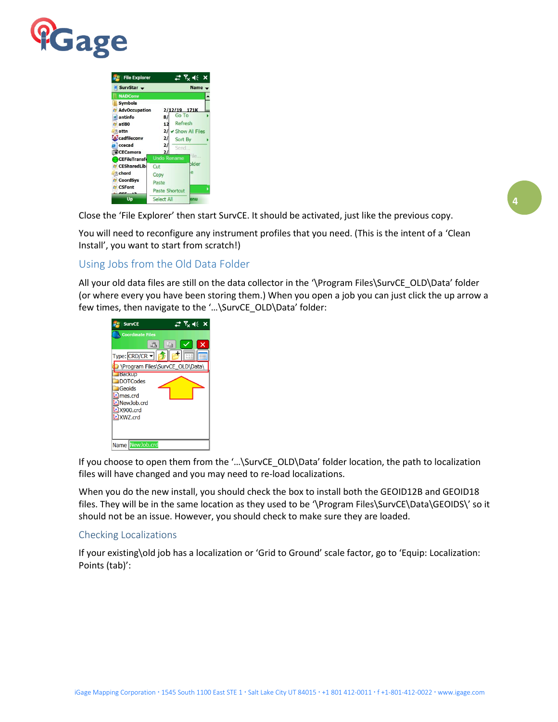

| <b>File Explorer</b>                                                                                    | $\mathbb{C}^{\bullet}$ $\mathbb{R}_{\times}$ $\mathbb{R}^{\bullet}$ $\times$                               |  |
|---------------------------------------------------------------------------------------------------------|------------------------------------------------------------------------------------------------------------|--|
| SurvStar $\sim$                                                                                         | $Name -$                                                                                                   |  |
| <b>NADConv</b>                                                                                          |                                                                                                            |  |
| <b>Symbols</b><br><b>AdvOccupation</b><br>antinfo<br>atl80<br>attn<br>cadfileconv<br>ccecad<br>CECamera | 2/12/19 171K<br>Go To<br>8/<br>Refresh<br>12<br>2/<br>Show All Files<br>2/<br>Sort By<br>21<br>Send.<br>21 |  |
| <b>CEFileTransfr</b><br><b>CESharedLib:</b><br><b>Co</b> chord<br><b>CoordSys</b><br><b>E</b> CSFont    | tle.<br><b>Undo Rename</b><br>plder<br>Cut<br>p<br>Copy<br>Paste<br><b>Paste Shortcut</b>                  |  |
| Up                                                                                                      | Select All<br>m                                                                                            |  |

**4**

Close the 'File Explorer' then start SurvCE. It should be activated, just like the previous copy.

You will need to reconfigure any instrument profiles that you need. (This is the intent of a 'Clean Install', you want to start from scratch!)

## Using Jobs from the Old Data Folder

All your old data files are still on the data collector in the '\Program Files\SurvCE\_OLD\Data' folder (or where every you have been storing them.) When you open a job you can just click the up arrow a few times, then navigate to the '…\SurvCE\_OLD\Data' folder:



If you choose to open them from the '…\SurvCE\_OLD\Data' folder location, the path to localization files will have changed and you may need to re-load localizations.

When you do the new install, you should check the box to install both the GEOID12B and GEOID18 files. They will be in the same location as they used to be '\Program Files\SurvCE\Data\GEOIDS\' so it should not be an issue. However, you should check to make sure they are loaded.

#### Checking Localizations

If your existing\old job has a localization or 'Grid to Ground' scale factor, go to 'Equip: Localization: Points (tab)':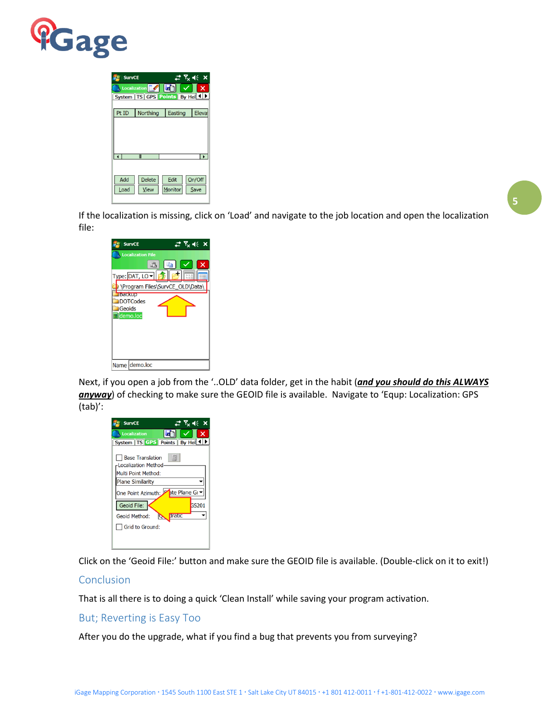

| <b>SurvCE</b> |                                           | $\mathbb{Z}$ $\mathbb{Z}$ $\prec$ $\prec$ |              |
|---------------|-------------------------------------------|-------------------------------------------|--------------|
|               | Localization                              |                                           | $\mathsf{x}$ |
|               | System   TS   GPS   Points   By Hel <   D |                                           |              |
| Pt ID         | Northing                                  | Easting                                   | Eleva        |
|               |                                           |                                           |              |
|               |                                           |                                           |              |
|               |                                           |                                           |              |
|               | Ш                                         |                                           |              |
|               |                                           |                                           |              |
| Add           | <b>Delete</b>                             | Edit                                      | On/Off       |
| Load          | <b>View</b>                               | Monitor                                   | Save         |
|               |                                           |                                           |              |

If the localization is missing, click on 'Load' and navigate to the job location and open the localization file:

**5**

| <b>SurvCE</b>                    | # % ≪ ×                         |
|----------------------------------|---------------------------------|
| <b>Localization File</b>         |                                 |
|                                  | 鶅<br>La<br>x                    |
| $Type:$ $DATA$ , LO $\neg$       | 111                             |
|                                  | \Program Files\SurvCE_OLD\Data\ |
| <b>Баскир</b><br><b>DOTCodes</b> |                                 |
| Geoids                           |                                 |
| demo.loc                         |                                 |
|                                  |                                 |
|                                  |                                 |
|                                  |                                 |
|                                  |                                 |
| Name demo.loc                    |                                 |

Next, if you open a job from the '..OLD' data folder, get in the habit (*and you should do this ALWAYS anyway*) of checking to make sure the GEOID file is available. Navigate to 'Equp: Localization: GPS (tab)':

| # ½ ≪ ×<br><b>SurvCE</b>                                                                                                                      |
|-----------------------------------------------------------------------------------------------------------------------------------------------|
| $\mathsf{x}$<br><b>Localization</b><br>Ξ                                                                                                      |
| System   TS GPS   Points   By Hel 1   1                                                                                                       |
| <b>Base Translation</b><br><b>Localization Method</b><br>Multi Point Method:<br><b>Plane Similarity</b><br>ate Plane Gr<br>One Point Azimuth: |
| Geoid File:<br><b>GS201</b>                                                                                                                   |
| dratic<br>Geoid Method:<br>IQ.                                                                                                                |
| Grid to Ground:                                                                                                                               |
|                                                                                                                                               |

Click on the 'Geoid File:' button and make sure the GEOID file is available. (Double-click on it to exit!)

#### Conclusion

That is all there is to doing a quick 'Clean Install' while saving your program activation.

But; Reverting is Easy Too

After you do the upgrade, what if you find a bug that prevents you from surveying?